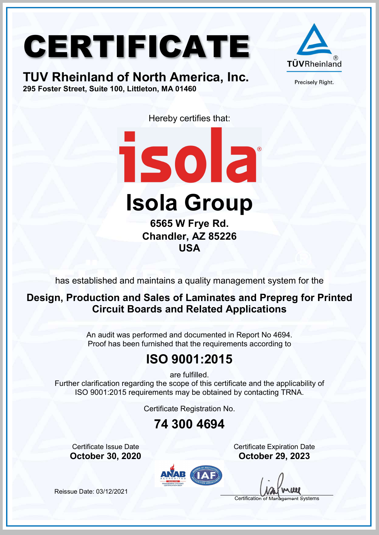# CERTIFICATE





Precisely Right.

Hereby certifies that:



Isola Group

6565 W Frye Rd. Chandler, AZ 85226 USA

has established and maintains a quality management system for the

#### Design, Production and Sales of Laminates and Prepreg for Printed Circuit Boards and Related Applications

An audit was performed and documented in Report No 4694. Proof has been furnished that the requirements according to

### ISO 9001:2015

are fulfilled.

Further clarification regarding the scope of this certificate and the applicability of ISO 9001:2015 requirements may be obtained by contacting TRNA.

Certificate Registration No.

#### 74 300 4694

**Certificate Issue Date** Certificate Expiration Date October 30, 2020 October 29, 2023



Certification of Management Systems

Reissue Date: 03/12/2021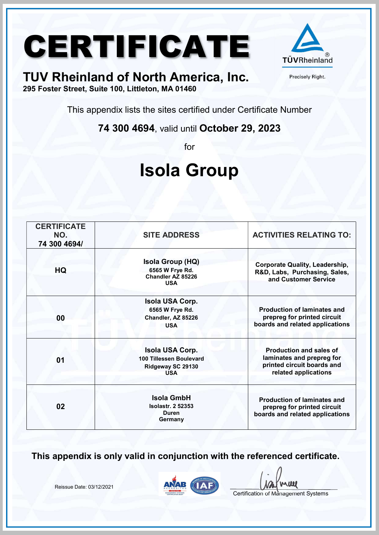# CERTIFICATE A



Precisely Right.

### TUV Rheinland of North America, Inc.

295 Foster Street, Suite 100, Littleton, MA 01460

This appendix lists the sites certified under Certificate Number

74 300 4694, valid until October 29, 2023

for

## Isola Group

| <b>CERTIFICATE</b><br>NO.<br>74 300 4694/ | <b>SITE ADDRESS</b>                                                                  | <b>ACTIVITIES RELATING TO:</b>                                                                                    |
|-------------------------------------------|--------------------------------------------------------------------------------------|-------------------------------------------------------------------------------------------------------------------|
| HQ                                        | <b>Isola Group (HQ)</b><br>6565 W Frye Rd.<br>Chandler AZ 85226<br><b>USA</b>        | <b>Corporate Quality, Leadership,</b><br>R&D, Labs, Purchasing, Sales,<br>and Customer Service                    |
| 00                                        | <b>Isola USA Corp.</b><br>6565 W Frye Rd.<br>Chandler, AZ 85226<br><b>USA</b>        | <b>Production of laminates and</b><br>prepreg for printed circuit<br>boards and related applications              |
| 01                                        | <b>Isola USA Corp.</b><br>100 Tillessen Boulevard<br>Ridgeway SC 29130<br><b>USA</b> | <b>Production and sales of</b><br>laminates and prepreg for<br>printed circuit boards and<br>related applications |
| 02                                        | <b>Isola GmbH</b><br><b>Isolastr. 2 52353</b><br><b>Duren</b><br>Germany             | <b>Production of laminates and</b><br>prepreg for printed circuit<br>boards and related applications              |

This appendix is only valid in conjunction with the referenced certificate.

Reissue Date: 03/12/2021



**uu** 

Certification of Management Systems